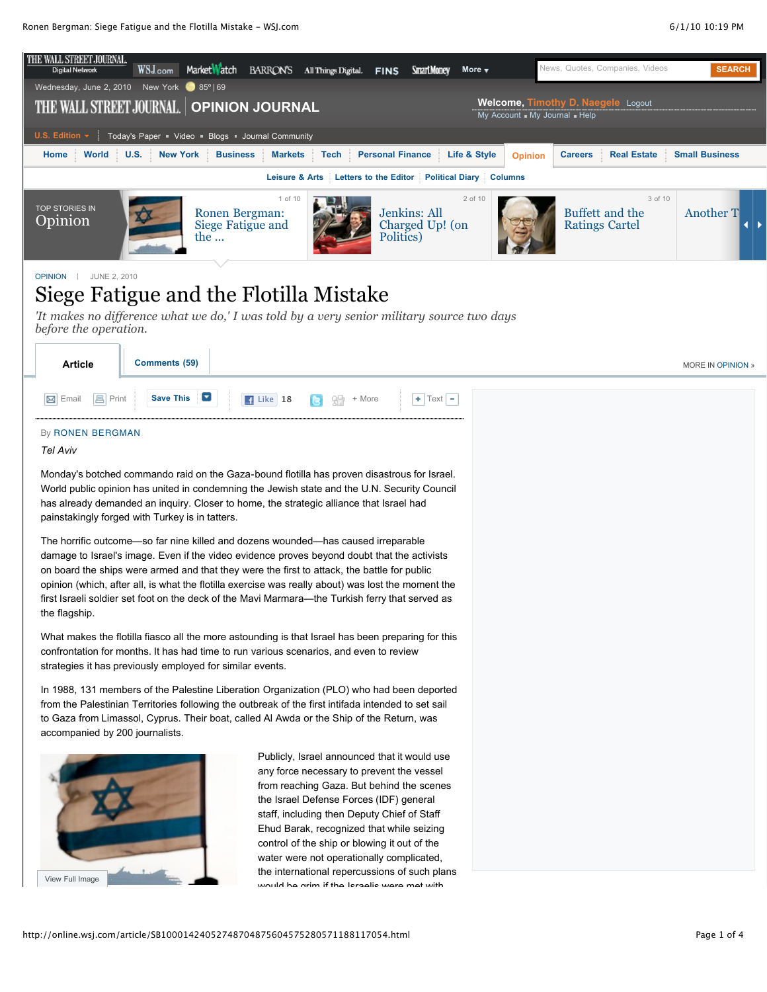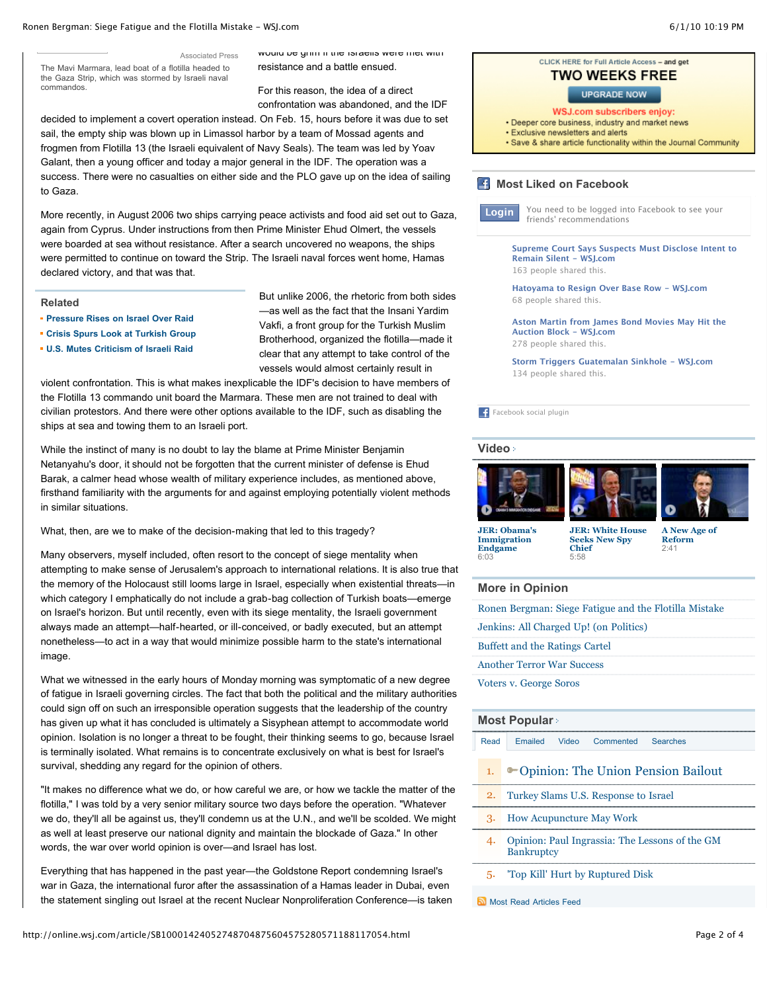Associated Press

The Mavi Marmara, lead boat of a flotilla headed to the Gaza Strip, which was stormed by Israeli naval commandos.

would be grim if the Israelis were met with resistance and a battle ensued.

For this reason, the idea of a direct confrontation was abandoned, and the IDF

decided to implement a covert operation instead. On Feb. 15, hours before it was due to set sail, the empty ship was blown up in Limassol harbor by a team of Mossad agents and frogmen from Flotilla 13 (the Israeli equivalent of Navy Seals). The team was led by Yoav Galant, then a young officer and today a major general in the IDF. The operation was a success. There were no casualties on either side and the PLO gave up on the idea of sailing to Gaza.

More recently, in August 2006 two ships carrying peace activists and food aid set out to Gaza, again from Cyprus. Under instructions from then Prime Minister Ehud Olmert, the vessels were boarded at sea without resistance. After a search uncovered no weapons, the ships were permitted to continue on toward the Strip. The Israeli naval forces went home, Hamas declared victory, and that was that.

#### **Related**

- **[Pressure Rises on Israel Over Raid](http://online.wsj.com/article/SB10001424052748704875604575280230648120058.html)**
- **[Crisis Spurs Look at Turkish Group](http://online.wsj.com/article/SB10001424052748703961204575280791438239242.html)**
- **[U.S. Mutes Criticism of Israeli Raid](http://online.wsj.com/article/SB10001424052748704875604575279890181042442.html)**

But unlike 2006, the rhetoric from both sides —as well as the fact that the Insani Yardim Vakfi, a front group for the Turkish Muslim Brotherhood, organized the flotilla—made it clear that any attempt to take control of the vessels would almost certainly result in

violent confrontation. This is what makes inexplicable the IDF's decision to have members of the Flotilla 13 commando unit board the Marmara. These men are not trained to deal with civilian protestors. And there were other options available to the IDF, such as disabling the ships at sea and towing them to an Israeli port.

While the instinct of many is no doubt to lay the blame at Prime Minister Benjamin Netanyahu's door, it should not be forgotten that the current minister of defense is Ehud Barak, a calmer head whose wealth of military experience includes, as mentioned above, firsthand familiarity with the arguments for and against employing potentially violent methods in similar situations.

What, then, are we to make of the decision-making that led to this tragedy?

Many observers, myself included, often resort to the concept of siege mentality when attempting to make sense of Jerusalem's approach to international relations. It is also true that the memory of the Holocaust still looms large in Israel, especially when existential threats—in which category I emphatically do not include a grab-bag collection of Turkish boats—emerge on Israel's horizon. But until recently, even with its siege mentality, the Israeli government always made an attempt—half-hearted, or ill-conceived, or badly executed, but an attempt nonetheless—to act in a way that would minimize possible harm to the state's international image.

What we witnessed in the early hours of Monday morning was symptomatic of a new degree of fatigue in Israeli governing circles. The fact that both the political and the military authorities could sign off on such an irresponsible operation suggests that the leadership of the country has given up what it has concluded is ultimately a Sisyphean attempt to accommodate world opinion. Isolation is no longer a threat to be fought, their thinking seems to go, because Israel is terminally isolated. What remains is to concentrate exclusively on what is best for Israel's survival, shedding any regard for the opinion of others.

"It makes no difference what we do, or how careful we are, or how we tackle the matter of the flotilla," I was told by a very senior military source two days before the operation. "Whatever we do, they'll all be against us, they'll condemn us at the U.N., and we'll be scolded. We might as well at least preserve our national dignity and maintain the blockade of Gaza." In other words, the war over world opinion is over—and Israel has lost.

Everything that has happened in the past year—the Goldstone Report condemning Israel's war in Gaza, the international furor after the assassination of a Hamas leader in Dubai, even the statement singling out Israel at the recent Nuclear Nonproliferation Conference—is taken



**UPGRADE NOW** 

**WSJ.com subscribers enjoy:** 

- · Deeper core business, industry and market news
- · Exclusive newsletters and alerts
- · Save & share article functionality within the Journal Community

# **Most Liked on Facebook**

**Login** You need to be logged into Facebook to see your friends' recommendations

> **[Supreme Court Says Suspects Must Disclose Intent to](http://online.wsj.com/article/SB10001424052748704875604575280392747737022.html) Remain Silent - WSJ.com** 163 people shared this.

**[Hatoyama to Resign Over Base Row - WSJ.com](http://online.wsj.com/article/SB10001424052748704875604575281292285208862.html)** 68 people shared this.

**[Aston Martin from James Bond Movies May Hit the](http://online.wsj.com/article/SB10001424052748704032704575268310456165190.html) Auction Block - WSJ.com** 278 people shared this.

**[Storm Triggers Guatemalan Sinkhole - WSJ.com](http://online.wsj.com/article/SB10001424052748704875604575280351592487386.html)** 134 people shared this.

[Facebook social plugin](http://developers.facebook.com/plugins/?footer=2)

#### **[Video](http://online.wsj.com/video-center/opinion.html)**







**[JER: Obama's](http://online.wsj.com/video/jer-obama-immigration-endgame/3C3DE122-D8F5-4BB1-A218-405B6686FE42.html?mod=WSJ_Article_Videocarousel_1) Immigration Endgame** 6:03

**[JER: White House](http://online.wsj.com/video/jer-white-house-seeks-new-spy-chief/6E35E0B5-0236-464F-A0C4-CA36756A6082.html?mod=WSJ_Article_Videocarousel_2) Seeks New Spy Chief** 5:58

**[A New Age of](http://online.wsj.com/video/a-new-age-of-reform/8D20626A-D0CD-46D5-883D-DBA073CA02AA.html?mod=WSJ_Article_Videocarousel_3) Reform** 2:41

#### **More in Opinion**

[Ronen Bergman: Siege Fatigue and the Flotilla Mistake](http://online.wsj.com/article/SB10001424052748704875604575280571188117054.html?mod=WSJ_article_MoreIn)

[Jenkins: All Charged Up! \(on Politics\)](http://online.wsj.com/article/SB10001424052748703325104575280380064974048.html?mod=WSJ_article_MoreIn)

[Buffett and the Ratings Cartel](http://online.wsj.com/article/SB10001424052748704717004575268622397797094.html?mod=WSJ_article_MoreIn)

[Another Terror War Success](http://online.wsj.com/article/SB10001424052748704875604575280643044606292.html?mod=WSJ_article_MoreIn)

[Voters v. George Soros](http://online.wsj.com/article/SB10001424052748704370704575228461914892980.html?mod=WSJ_article_MoreIn)

#### **[Most Popular](http://online.wsj.com/public/page/most_popular.html)**

[Read](http://online.wsj.com/article/SB10001424052748704875604575280571188117054.html#mostPopular_mostRead) [Emailed](http://online.wsj.com/article/SB10001424052748704875604575280571188117054.html#mostPopular_mostEmailed) [Video](http://online.wsj.com/article/SB10001424052748704875604575280571188117054.html#mostPopular_mostPopularVideo) [Commented](http://online.wsj.com/article/SB10001424052748704875604575280571188117054.html#mostPopular_mostCommented) [Searches](http://online.wsj.com/article/SB10001424052748704875604575280571188117054.html#mostPopular_mostSearched)

- 1. [Opinion: The Union Pension Bailout](http://online.wsj.com/article/SB10001424052702303491304575188263180553530.html?mod=WSJ_hp_mostpop_read)
- 2. [Turkey Slams U.S. Response to Israel](http://online.wsj.com/article/SB10001424052748704875604575280582297791948.html?mod=WSJ_hp_mostpop_read)
- 3. [How Acupuncture May Work](http://online.wsj.com/article/SB10001424052748703630304575270792112727252.html?mod=WSJ_hp_mostpop_read)
- 4. [Opinion: Paul Ingrassia: The Lessons of the GM](http://online.wsj.com/article/SB10001424052748704113504575264641145227612.html?mod=WSJ_hp_mostpop_read) **Bankruptcy**
- 5. ['Top Kill' Hurt by Ruptured Disk](http://online.wsj.com/article/SB10001424052748704875604575280133577164268.html?mod=WSJ_hp_mostpop_read)
- [Most Read Articles Feed](http://online.wsj.com/rss?mod=fpp_rss)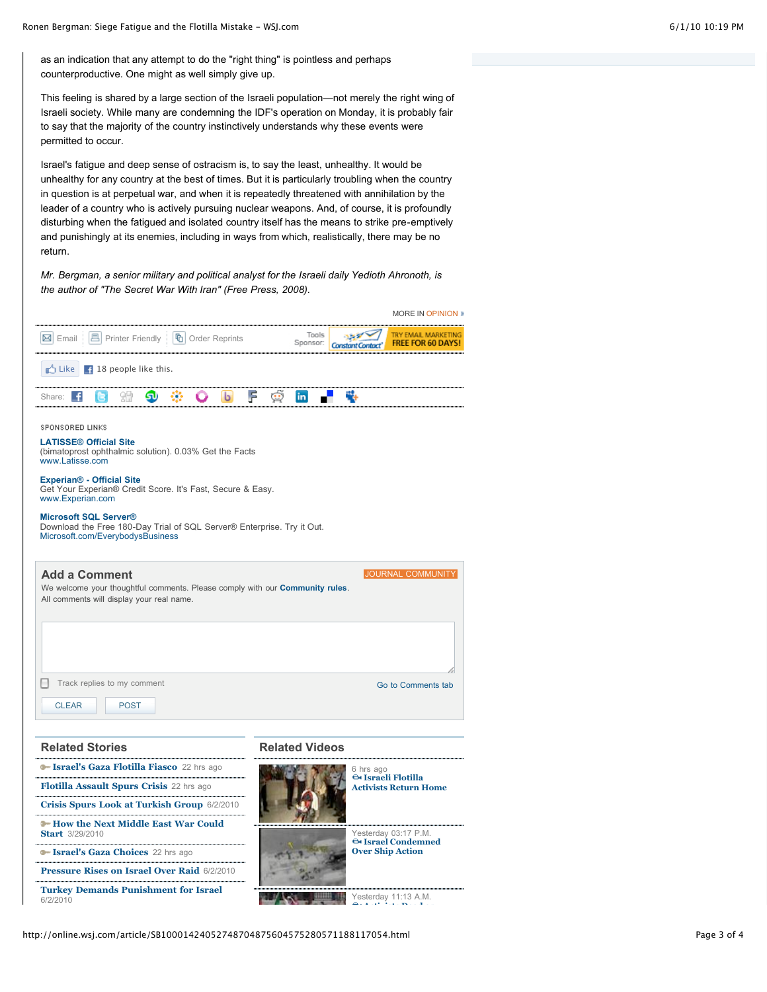as an indication that any attempt to do the "right thing" is pointless and perhaps counterproductive. One might as well simply give up.

This feeling is shared by a large section of the Israeli population—not merely the right wing of Israeli society. While many are condemning the IDF's operation on Monday, it is probably fair to say that the majority of the country instinctively understands why these events were permitted to occur.

Israel's fatigue and deep sense of ostracism is, to say the least, unhealthy. It would be unhealthy for any country at the best of times. But it is particularly troubling when the country in question is at perpetual war, and when it is repeatedly threatened with annihilation by the leader of a country who is actively pursuing nuclear weapons. And, of course, it is profoundly disturbing when the fatigued and isolated country itself has the means to strike pre-emptively and punishingly at its enemies, including in ways from which, realistically, there may be no return.

*Mr. Bergman, a senior military and political analyst for the Israeli daily Yedioth Ahronoth, is the author of "The Secret War With Iran" (Free Press, 2008).*

|                                                                                                                                            |                                                            |  |  |   |   |                   |  | <b>MORE IN OPINION »</b>                        |
|--------------------------------------------------------------------------------------------------------------------------------------------|------------------------------------------------------------|--|--|---|---|-------------------|--|-------------------------------------------------|
| <b>⊠</b> Email                                                                                                                             | <b>图</b> Printer Friendly $ \mathbf{\Phi} $ Order Reprints |  |  |   |   | Tools<br>Sponsor: |  | TRY EMAIL MARKETING<br><b>FREE FOR 60 DAYS!</b> |
| 18 people like this.<br><b>□</b> Like                                                                                                      |                                                            |  |  |   |   |                   |  |                                                 |
| Share:                                                                                                                                     |                                                            |  |  | F | ω | in                |  |                                                 |
| SPONSORED LINKS                                                                                                                            |                                                            |  |  |   |   |                   |  |                                                 |
| <b>LATISSE® Official Site</b><br>(bimatoprost ophthalmic solution). 0.03% Get the Facts<br>www.Latisse.com                                 |                                                            |  |  |   |   |                   |  |                                                 |
| <b>Experian<sup>®</sup></b> - Official Site<br>Get Your Experian® Credit Score. It's Fast, Secure & Easy.<br>www.Experian.com              |                                                            |  |  |   |   |                   |  |                                                 |
| <b>Microsoft SQL Server®</b><br>Download the Free 180-Day Trial of SQL Server® Enterprise. Try it Out.<br>Microsoft.com/EverybodysBusiness |                                                            |  |  |   |   |                   |  |                                                 |
| <b>Add a Comment</b>                                                                                                                       |                                                            |  |  |   |   |                   |  | JOURNAL COMMUNITY                               |
| We welcome your thoughtful comments. Please comply with our Community rules.<br>All comments will display your real name.                  |                                                            |  |  |   |   |                   |  |                                                 |
|                                                                                                                                            |                                                            |  |  |   |   |                   |  |                                                 |
|                                                                                                                                            |                                                            |  |  |   |   |                   |  |                                                 |
|                                                                                                                                            |                                                            |  |  |   |   |                   |  |                                                 |
| Track replies to my comment                                                                                                                |                                                            |  |  |   |   |                   |  | Go to Comments tab                              |
| <b>CLEAR</b>                                                                                                                               | <b>POST</b>                                                |  |  |   |   |                   |  |                                                 |

#### **Related Stories**

6/2/2010

**[Israel's Gaza Flotilla Fiasco](http://online.wsj.com/article/SB10001424052748704366504575278621338138694.html?mod=WSJ_article_related)** 22 hrs ago

**[Flotilla Assault Spurs Crisis](http://online.wsj.com/article/SB10001424052748703703704575277632709673018.html?mod=WSJ_article_related)** 22 hrs ago

**[Crisis Spurs Look at Turkish Group](http://online.wsj.com/article/SB10001424052748703961204575280791438239242.html?mod=WSJ_article_related)** 6/2/2010

**[How the Next Middle East War Could](http://online.wsj.com/article/SB10001424052748703312504575142181649202588.html?mod=WSJ_article_related) Start** 3/29/2010

**[Israel's Gaza Choices](http://online.wsj.com/article/SB10001424052748704490204575278931593199598.html?mod=WSJ_article_related)** 22 hrs ago

**[Pressure Rises on Israel Over Raid](http://online.wsj.com/article/SB10001424052748704875604575280230648120058.html?mod=WSJ_article_related)** 6/2/2010

**[Turkey Demands Punishment for Israel](http://online.wsj.com/article/SB10001424052748704875604575280313859289310.html?mod=WSJ_article_related)**

**Related Videos**



**[Activists Return Home](http://online.wsj.com/video/israeli-flotilla-activists-return-home/1A00A9AA-44C4-49BC-91B4-43AD8C2179AB.html?mod=WSJ_article_related)**

Yesterday 11:13 A.M.

Yesterday 03:17 P.M. **[Israel Condemned](http://online.wsj.com/video/israel-condemned-over-ship-action/101D9070-C553-41A0-B2AB-F4FAE27B0B34.html?mod=WSJ_article_related) Over Ship Action**

**[Activists Dead as](http://online.wsj.com/video/activists-dead-as-israel-storms-ship/AA4D1714-3F6B-4D88-8BB2-7F25F50F0868.html?mod=WSJ_article_related)**

6 hrs ago<br>**⊖∙ Israeli Flotilla**